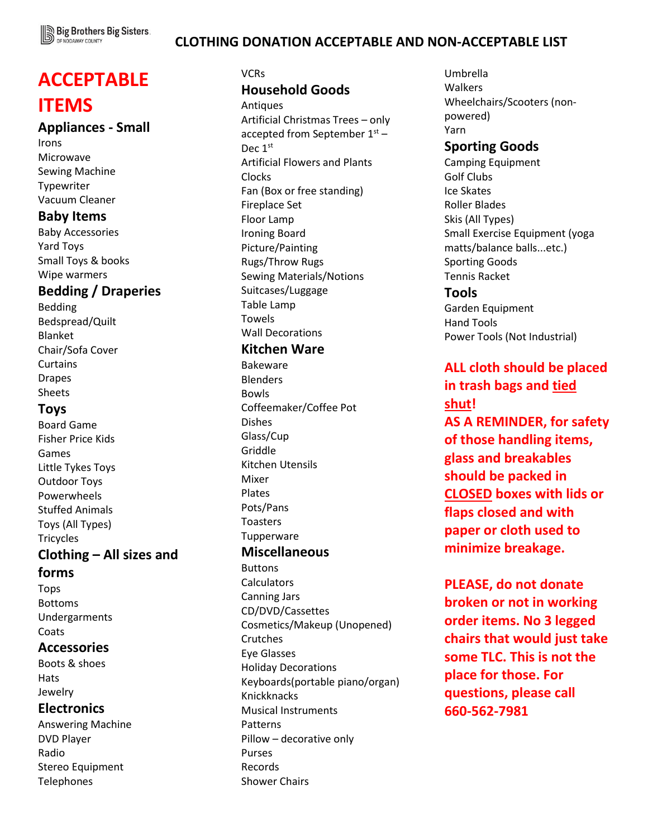

## **CLOTHING DONATION ACCEPTABLE AND NON-ACCEPTABLE LIST**

# **ACCEPTABLE ITEMS**

#### **Appliances - Small**

Irons Microwave Sewing Machine Typewriter Vacuum Cleaner

#### **Baby Items**

Baby Accessories Yard Toys Small Toys & books Wipe warmers

#### **Bedding / Draperies**

Bedding Bedspread/Quilt Blanket Chair/Sofa Cover Curtains Drapes Sheets

# **Toys**

Board Game Fisher Price Kids Games Little Tykes Toys Outdoor Toys Powerwheels Stuffed Animals Toys (All Types) **Tricycles** 

# **Clothing – All sizes and**

#### **forms**

Tops Bottoms Undergarments **Coats** 

#### **Accessories**

Boots & shoes **Hats** Jewelry

#### **Electronics**

Answering Machine DVD Player Radio Stereo Equipment Telephones

#### VCRs

## **Household Goods**

Antiques Artificial Christmas Trees – only accepted from September  $1<sup>st</sup>$  – Dec 1<sup>st</sup> Artificial Flowers and Plants Clocks Fan (Box or free standing) Fireplace Set Floor Lamp Ironing Board Picture/Painting Rugs/Throw Rugs Sewing Materials/Notions Suitcases/Luggage Table Lamp Towels Wall Decorations

# **Kitchen Ware**

Bakeware Blenders Bowls Coffeemaker/Coffee Pot Dishes Glass/Cup Griddle Kitchen Utensils Mixer Plates Pots/Pans Toasters **Tupperware** 

# **Miscellaneous**

Buttons **Calculators** Canning Jars CD/DVD/Cassettes Cosmetics/Makeup (Unopened) Crutches Eye Glasses Holiday Decorations Keyboards(portable piano/organ) Knickknacks Musical Instruments Patterns Pillow – decorative only Purses Records Shower Chairs

Umbrella Walkers Wheelchairs/Scooters (nonpowered) Yarn

# **Sporting Goods**

Camping Equipment Golf Clubs Ice Skates Roller Blades Skis (All Types) Small Exercise Equipment (yoga matts/balance balls...etc.) Sporting Goods Tennis Racket **Tools**

# Garden Equipment Hand Tools Power Tools (Not Industrial)

# **ALL cloth should be placed in trash bags and tied shut! AS A REMINDER, for safety of those handling items, glass and breakables**

**should be packed in CLOSED boxes with lids or flaps closed and with paper or cloth used to minimize breakage.**

**PLEASE, do not donate broken or not in working order items. No 3 legged chairs that would just take some TLC. This is not the place for those. For questions, please call 660-562-7981**